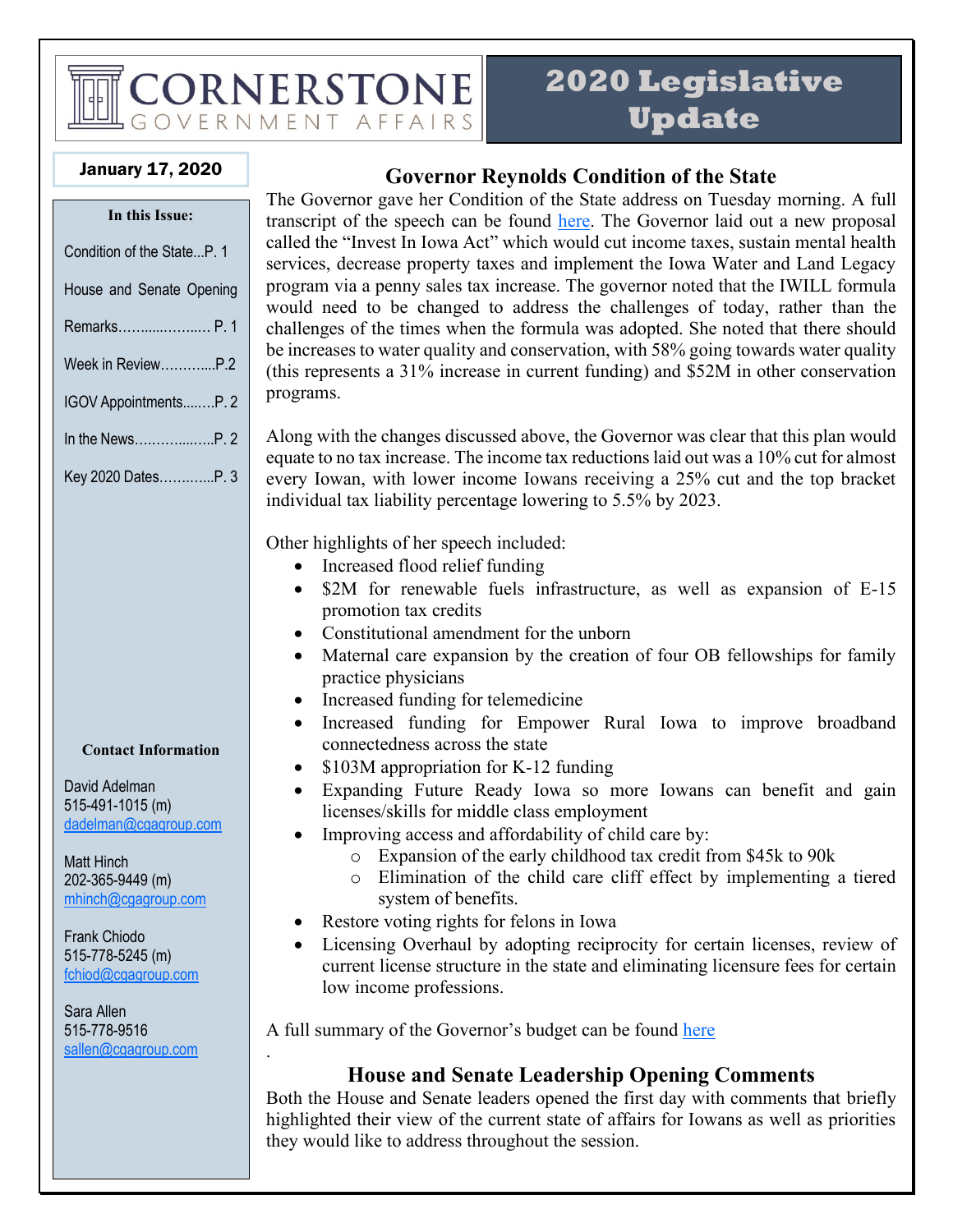# CORNERSTONE OVERNMENT AFFAIRS

## **2020 Legislative Update**

#### January 17, 2020

| In this Issue:             |
|----------------------------|
| Condition of the StateP. 1 |
| House and Senate Opening   |
| Remarks P. 1               |
| Week in ReviewP.2          |
| IGOV AppointmentsP. 2      |
|                            |
| Key 2020 DatesP. 3         |

#### **Contact Information**

David Adelman 515-491-1015 (m) [dadelman@cgagroup.com](mailto:dadelman@cgagroup.com)

Matt Hinch 202-365-9449 (m) [mhinch@cgagroup.com](mailto:mhinch@cgagroup.com)

Frank Chiodo 515-778-5245 (m) [fchiod@cgagroup.com](mailto:fchiod@cgagroup.com)

Sara Allen 515-778-9516 [sallen@cgagroup.com](mailto:sallen@cgagroup.com)

.

#### **Governor Reynolds Condition of the State**

The Governor gave her Condition of the State address on Tuesday morning. A full transcript of the speech can be found [here.](https://governor.iowa.gov/press-release/gov-reynolds-delivers-condition-of-the-state) The Governor laid out a new proposal called the "Invest In Iowa Act" which would cut income taxes, sustain mental health services, decrease property taxes and implement the Iowa Water and Land Legacy program via a penny sales tax increase. The governor noted that the IWILL formula would need to be changed to address the challenges of today, rather than the challenges of the times when the formula was adopted. She noted that there should be increases to water quality and conservation, with 58% going towards water quality (this represents a 31% increase in current funding) and \$52M in other conservation programs.

Along with the changes discussed above, the Governor was clear that this plan would equate to no tax increase. The income tax reductions laid out was a 10% cut for almost every Iowan, with lower income Iowans receiving a 25% cut and the top bracket individual tax liability percentage lowering to 5.5% by 2023.

Other highlights of her speech included:

- Increased flood relief funding
- \$2M for renewable fuels infrastructure, as well as expansion of E-15 promotion tax credits
- Constitutional amendment for the unborn
- Maternal care expansion by the creation of four OB fellowships for family practice physicians
- Increased funding for telemedicine
- Increased funding for Empower Rural Iowa to improve broadband connectedness across the state
- \$103M appropriation for K-12 funding
- Expanding Future Ready Iowa so more Iowans can benefit and gain licenses/skills for middle class employment
- Improving access and affordability of child care by:
	- o Expansion of the early childhood tax credit from \$45k to 90k
	- o Elimination of the child care cliff effect by implementing a tiered system of benefits.
- Restore voting rights for felons in Iowa
- Licensing Overhaul by adopting reciprocity for certain licenses, review of current license structure in the state and eliminating licensure fees for certain low income professions.

A full summary of the Governor's budget can be found [here](https://dom.iowa.gov/sites/default/files/documents/2020/01/fy2021bib.pdf)

#### **House and Senate Leadership Opening Comments**

Both the House and Senate leaders opened the first day with comments that briefly highlighted their view of the current state of affairs for Iowans as well as priorities they would like to address throughout the session.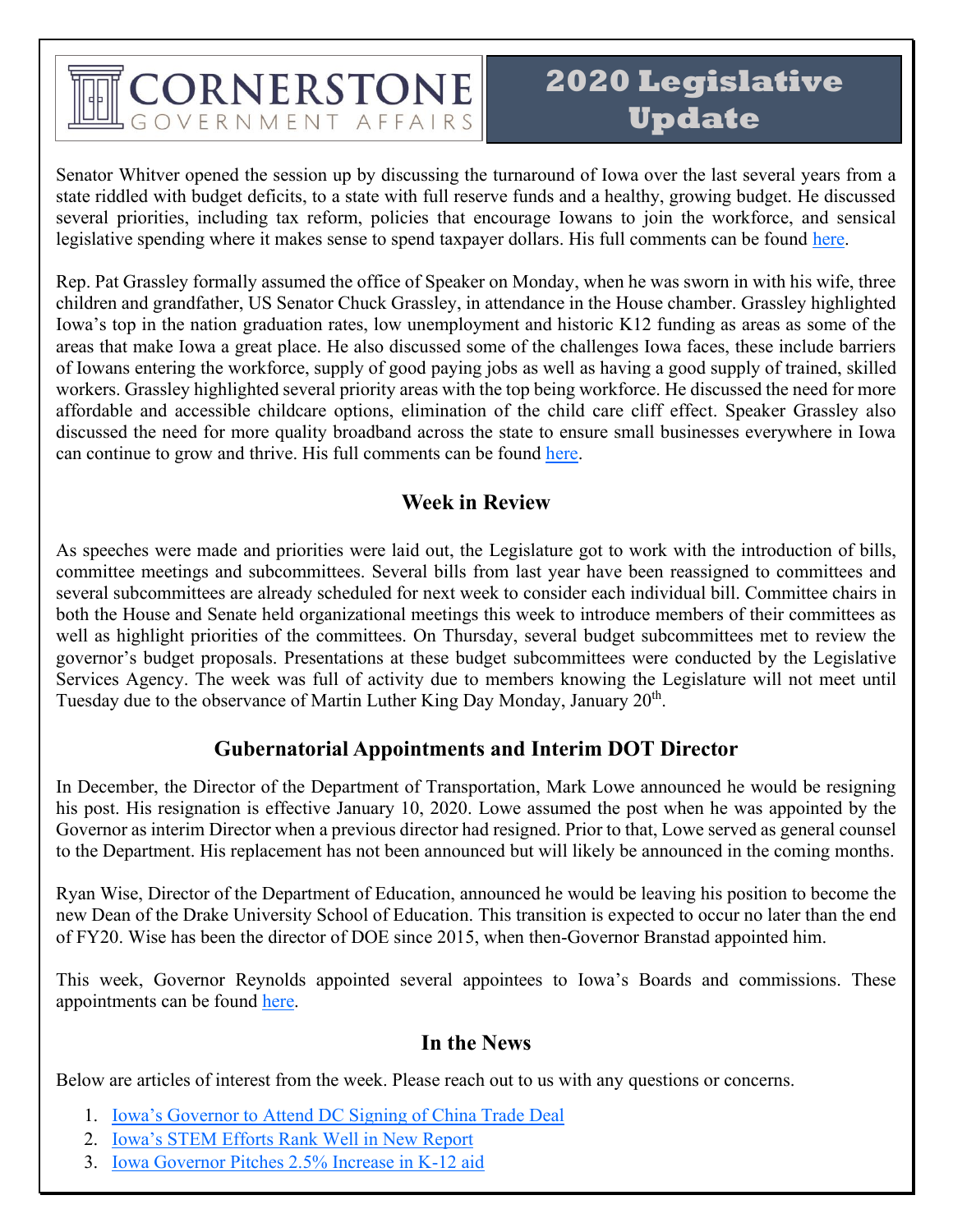# CORNERSTONE OVERNMENT AFFAIRS

## **2020 Legislative Update**

Senator Whitver opened the session up by discussing the turnaround of Iowa over the last several years from a state riddled with budget deficits, to a state with full reserve funds and a healthy, growing budget. He discussed several priorities, including tax reform, policies that encourage Iowans to join the workforce, and sensical legislative spending where it makes sense to spend taxpayer dollars. His full comments can be found [here.](http://www.iowasenaterepublicans.com/senate-majority-leader-jack-whitvers-opening-remarks-2020/)

Rep. Pat Grassley formally assumed the office of Speaker on Monday, when he was sworn in with his wife, three children and grandfather, US Senator Chuck Grassley, in attendance in the House chamber. Grassley highlighted Iowa's top in the nation graduation rates, low unemployment and historic K12 funding as areas as some of the areas that make Iowa a great place. He also discussed some of the challenges Iowa faces, these include barriers of Iowans entering the workforce, supply of good paying jobs as well as having a good supply of trained, skilled workers. Grassley highlighted several priority areas with the top being workforce. He discussed the need for more affordable and accessible childcare options, elimination of the child care cliff effect. Speaker Grassley also discussed the need for more quality broadband across the state to ensure small businesses everywhere in Iowa can continue to grow and thrive. His full comments can be found [here.](http://www.iowahouserepublicans.com/speaker-grassleys-opening-remarks-for-2020#more-33273)

### **Week in Review**

As speeches were made and priorities were laid out, the Legislature got to work with the introduction of bills, committee meetings and subcommittees. Several bills from last year have been reassigned to committees and several subcommittees are already scheduled for next week to consider each individual bill. Committee chairs in both the House and Senate held organizational meetings this week to introduce members of their committees as well as highlight priorities of the committees. On Thursday, several budget subcommittees met to review the governor's budget proposals. Presentations at these budget subcommittees were conducted by the Legislative Services Agency. The week was full of activity due to members knowing the Legislature will not meet until Tuesday due to the observance of Martin Luther King Day Monday, January 20<sup>th</sup>.

#### **Gubernatorial Appointments and Interim DOT Director**

In December, the Director of the Department of Transportation, Mark Lowe announced he would be resigning his post. His resignation is effective January 10, 2020. Lowe assumed the post when he was appointed by the Governor as interim Director when a previous director had resigned. Prior to that, Lowe served as general counsel to the Department. His replacement has not been announced but will likely be announced in the coming months.

Ryan Wise, Director of the Department of Education, announced he would be leaving his position to become the new Dean of the Drake University School of Education. This transition is expected to occur no later than the end of FY20. Wise has been the director of DOE since 2015, when then-Governor Branstad appointed him.

This week, Governor Reynolds appointed several appointees to Iowa's Boards and commissions. These appointments can be found [here.](https://governor.iowa.gov/press-release/gov-reynolds-announces-appointments-to-iowa%E2%80%99s-boards-commissions)

### **In the News**

Below are articles of interest from the week. Please reach out to us with any questions or concerns.

- 1. [Iowa's Governor to Attend DC Signing of China Trade Deal](https://www.radioiowa.com/2020/01/15/iowas-governor-to-attend-signing-of-partial-china-trade-deal/)
- 2. [Iowa's STEM Efforts Rank Well in New Report](https://www.radioiowa.com/2020/01/15/iowas-stem-efforts-rank-well-in-new-report/)
- 3. [Iowa Governor Pitches 2.5% Increase in K-12 aid](https://www.thegazette.com/subject/news/government/iowa-gov-kim-reynolds-pitches-2-5-percent-increase-k-12-aid-20200114)